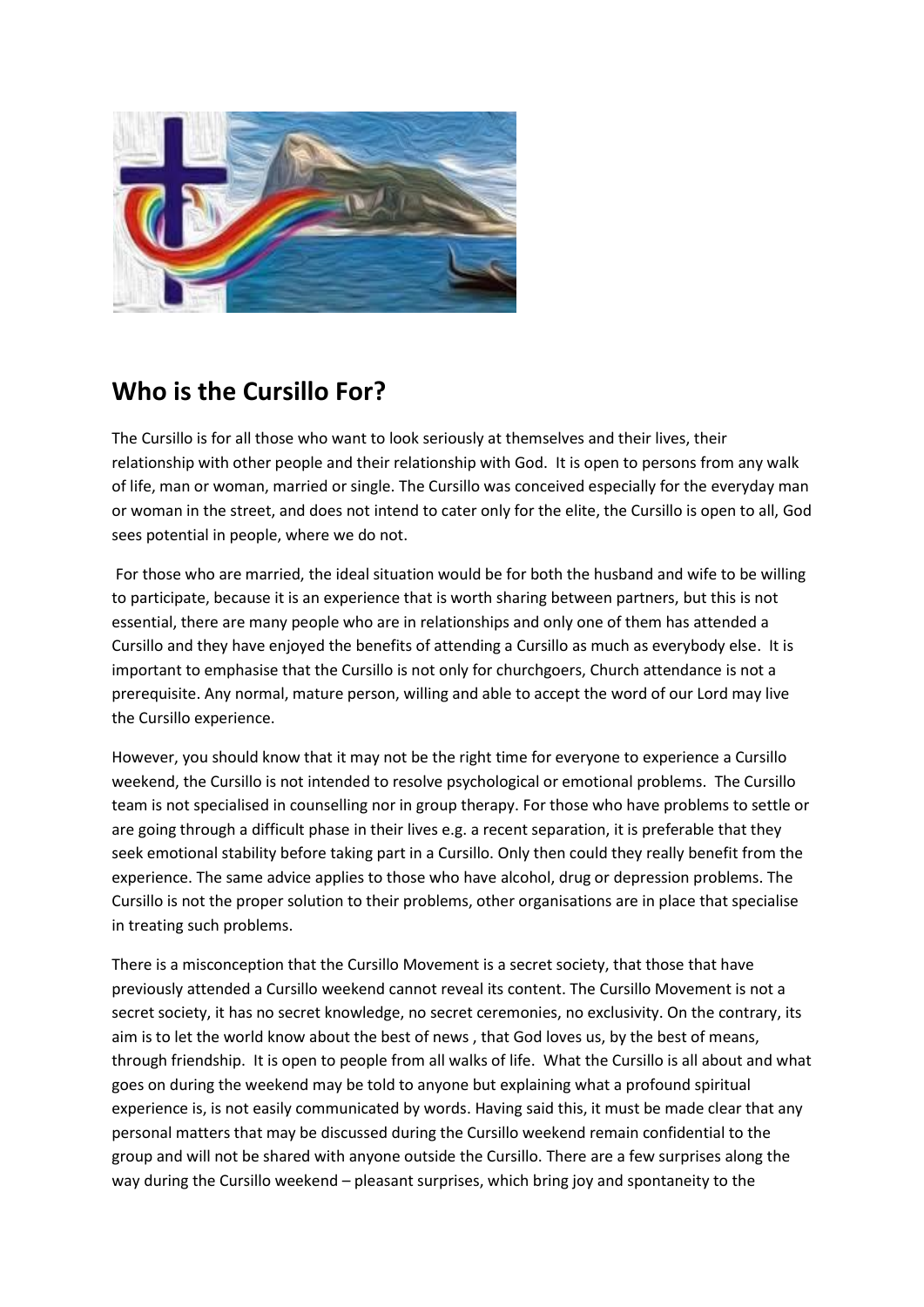

## **Who is the Cursillo For?**

The Cursillo is for all those who want to look seriously at themselves and their lives, their relationship with other people and their relationship with God. It is open to persons from any walk of life, man or woman, married or single. The Cursillo was conceived especially for the everyday man or woman in the street, and does not intend to cater only for the elite, the Cursillo is open to all, God sees potential in people, where we do not.

For those who are married, the ideal situation would be for both the husband and wife to be willing to participate, because it is an experience that is worth sharing between partners, but this is not essential, there are many people who are in relationships and only one of them has attended a Cursillo and they have enjoyed the benefits of attending a Cursillo as much as everybody else. It is important to emphasise that the Cursillo is not only for churchgoers, Church attendance is not a prerequisite. Any normal, mature person, willing and able to accept the word of our Lord may live the Cursillo experience.

However, you should know that it may not be the right time for everyone to experience a Cursillo weekend, the Cursillo is not intended to resolve psychological or emotional problems. The Cursillo team is not specialised in counselling nor in group therapy. For those who have problems to settle or are going through a difficult phase in their lives e.g. a recent separation, it is preferable that they seek emotional stability before taking part in a Cursillo. Only then could they really benefit from the experience. The same advice applies to those who have alcohol, drug or depression problems. The Cursillo is not the proper solution to their problems, other organisations are in place that specialise in treating such problems.

There is a misconception that the Cursillo Movement is a secret society, that those that have previously attended a Cursillo weekend cannot reveal its content. The Cursillo Movement is not a secret society, it has no secret knowledge, no secret ceremonies, no exclusivity. On the contrary, its aim is to let the world know about the best of news , that God loves us, by the best of means, through friendship. It is open to people from all walks of life. What the Cursillo is all about and what goes on during the weekend may be told to anyone but explaining what a profound spiritual experience is, is not easily communicated by words. Having said this, it must be made clear that any personal matters that may be discussed during the Cursillo weekend remain confidential to the group and will not be shared with anyone outside the Cursillo. There are a few surprises along the way during the Cursillo weekend – pleasant surprises, which bring joy and spontaneity to the